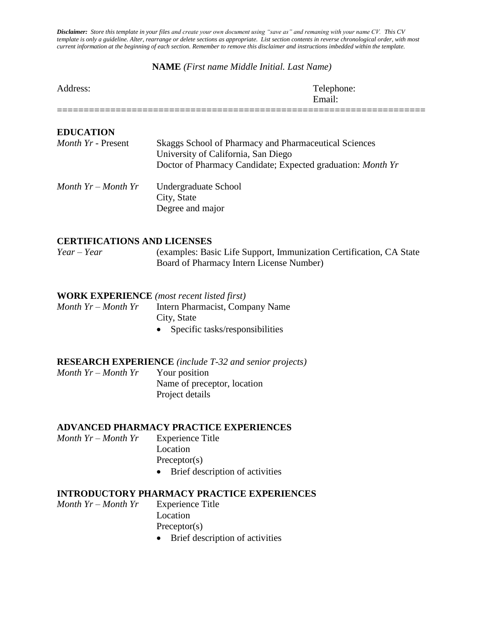*Disclaimer: Store this template in your files and create your own document using "save as" and remaning with your name CV. This CV template is only a guideline. Alter, rearrange or delete sections as appropriate. List section contents in reverse chronological order, with most current information at the beginning of each section. Remember to remove this disclaimer and instructions imbedded within the template.*

#### **NAME** *(First name Middle Initial. Last Name)*

| Address: | Telephone:<br>Email: |
|----------|----------------------|
|          |                      |

| <b>EDUCATION</b><br><i>Month Yr - Present</i> | Skaggs School of Pharmacy and Pharmaceutical Sciences<br>University of California, San Diego<br>Doctor of Pharmacy Candidate; Expected graduation: Month Yr |
|-----------------------------------------------|-------------------------------------------------------------------------------------------------------------------------------------------------------------|
| Month $Yr$ – Month $Yr$                       | Undergraduate School<br>City, State<br>Degree and major                                                                                                     |
| <b>CERTIFICATIONS AND LICENSES</b>            |                                                                                                                                                             |
| $Year - Year$                                 | (examples: Basic Life Support, Immunization Certification, CA State<br>Board of Pharmacy Intern License Number)                                             |
|                                               | <b>WORK EXPERIENCE</b> (most recent listed first)                                                                                                           |
| Month $Yr$ – Month $Yr$                       | Intern Pharmacist, Company Name                                                                                                                             |
|                                               | City, State                                                                                                                                                 |
|                                               | Specific tasks/responsibilities                                                                                                                             |
|                                               | <b>RESEARCH EXPERIENCE</b> (include T-32 and senior projects)                                                                                               |
|                                               |                                                                                                                                                             |

| Month $Yr$ – Month $Yr$ | Your position               |  |
|-------------------------|-----------------------------|--|
|                         | Name of preceptor, location |  |
|                         | Project details             |  |

## **ADVANCED PHARMACY PRACTICE EXPERIENCES**

- *Month Yr – Month Yr* Experience Title Location Preceptor(s)
	- Brief description of activities

## **INTRODUCTORY PHARMACY PRACTICE EXPERIENCES**

- *Month Yr – Month Yr* Experience Title Location Preceptor(s)
	- Brief description of activities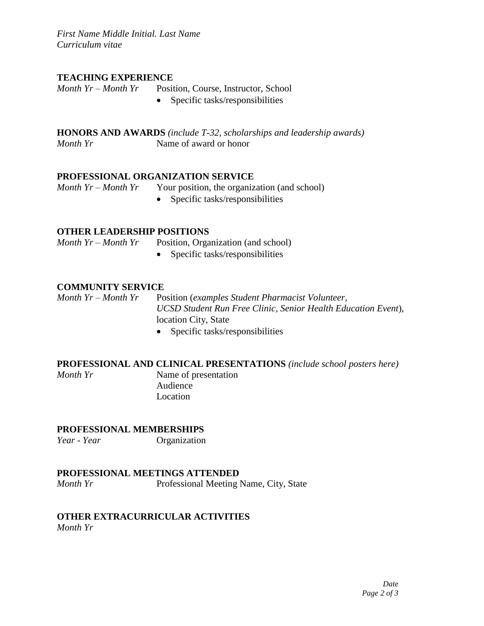*First Name Middle Initial. Last Name Curriculum vitae*

## **TEACHING EXPERIENCE**

*Month Yr – Month Yr* Position, Course, Instructor, School

• Specific tasks/responsibilities

**HONORS AND AWARDS** *(include T-32, scholarships and leadership awards) Month Yr* Name of award or honor

#### **PROFESSIONAL ORGANIZATION SERVICE**

*Month Yr – Month Yr* Your position, the organization (and school)

• Specific tasks/responsibilities

## **OTHER LEADERSHIP POSITIONS**

*Month Yr – Month Yr* Position, Organization (and school)

• Specific tasks/responsibilities

## **COMMUNITY SERVICE**

*Month Yr – Month Yr* Position (*examples Student Pharmacist Volunteer, UCSD Student Run Free Clinic, Senior Health Education Event*), location City, State

• Specific tasks/responsibilities

## **PROFESSIONAL AND CLINICAL PRESENTATIONS** *(include school posters here)*

*Month Yr* Name of presentation Audience Location

#### **PROFESSIONAL MEMBERSHIPS**

*Year - Year* Organization

#### **PROFESSIONAL MEETINGS ATTENDED**

*Month Yr* Professional Meeting Name, City, State

## **OTHER EXTRACURRICULAR ACTIVITIES**

*Month Yr*